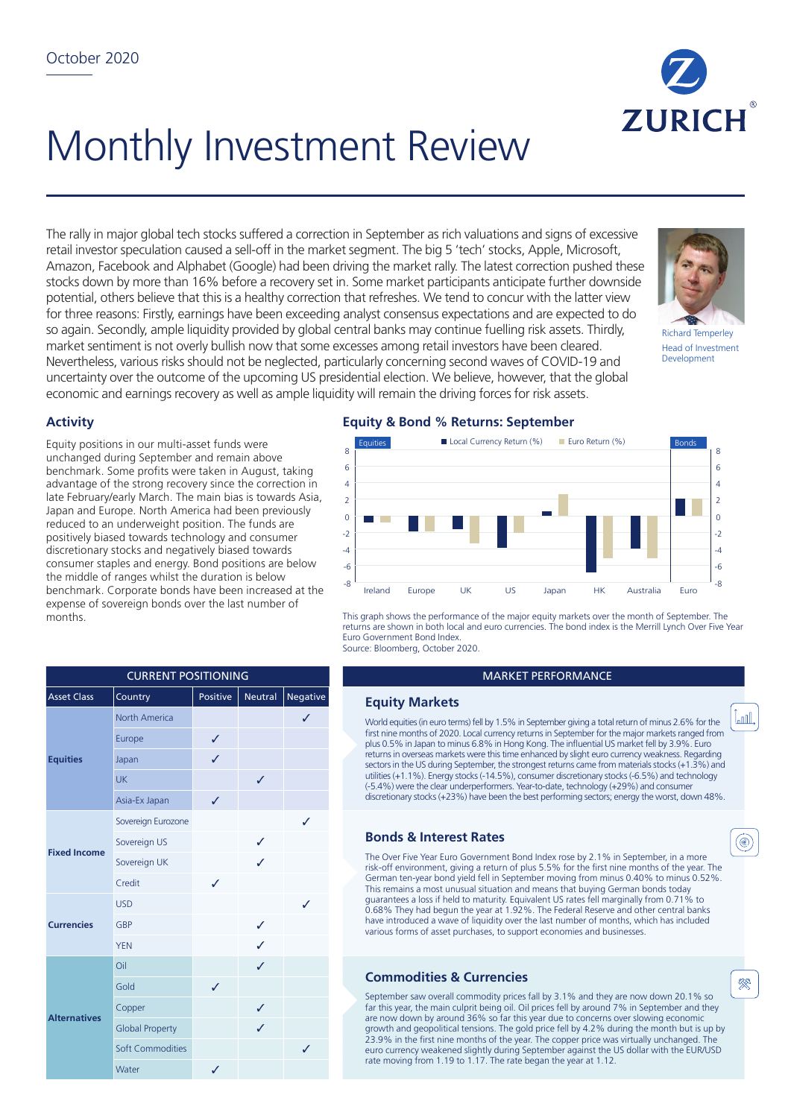

# Monthly Investment Review

The rally in major global tech stocks suffered a correction in September as rich valuations and signs of excessive retail investor speculation caused a sell-off in the market segment. The big 5 'tech' stocks, Apple, Microsoft, Amazon, Facebook and Alphabet (Google) had been driving the market rally. The latest correction pushed these stocks down by more than 16% before a recovery set in. Some market participants anticipate further downside potential, others believe that this is a healthy correction that refreshes. We tend to concur with the latter view for three reasons: Firstly, earnings have been exceeding analyst consensus expectations and are expected to do so again. Secondly, ample liquidity provided by global central banks may continue fuelling risk assets. Thirdly, market sentiment is not overly bullish now that some excesses among retail investors have been cleared. Nevertheless, various risks should not be neglected, particularly concerning second waves of COVID-19 and uncertainty over the outcome of the upcoming US presidential election. We believe, however, that the global economic and earnings recovery as well as ample liquidity will remain the driving forces for risk assets.



Richard Temperley Head of Investment Development

## **Activity**

Equity positions in our multi-asset funds were unchanged during September and remain above benchmark. Some profits were taken in August, taking advantage of the strong recovery since the correction in late February/early March. The main bias is towards Asia, Japan and Europe. North America had been previously reduced to an underweight position. The funds are positively biased towards technology and consumer discretionary stocks and negatively biased towards consumer staples and energy. Bond positions are below the middle of ranges whilst the duration is below benchmark. Corporate bonds have been increased at the expense of sovereign bonds over the last number of months.

| <b>CURRENT POSITIONING</b> |                         |          |                |          |  |  |  |
|----------------------------|-------------------------|----------|----------------|----------|--|--|--|
| <b>Asset Class</b>         | Country                 | Positive | <b>Neutral</b> | Negative |  |  |  |
| <b>Equities</b>            | North America           |          |                | ✓        |  |  |  |
|                            | Europe                  | ✓        |                |          |  |  |  |
|                            | Japan                   | J        |                |          |  |  |  |
|                            | UK                      |          | J              |          |  |  |  |
|                            | Asia-Ex Japan           | ✓        |                |          |  |  |  |
| <b>Fixed Income</b>        | Sovereign Eurozone      |          |                | ✓        |  |  |  |
|                            | Sovereign US            |          | ✓              |          |  |  |  |
|                            | Sovereign UK            |          | J              |          |  |  |  |
|                            | Credit                  | J        |                |          |  |  |  |
| <b>Currencies</b>          | <b>USD</b>              |          |                | ✓        |  |  |  |
|                            | <b>GBP</b>              |          | ✓              |          |  |  |  |
|                            | <b>YEN</b>              |          | ✓              |          |  |  |  |
| <b>Alternatives</b>        | Oil                     |          | J              |          |  |  |  |
|                            | Gold                    | J        |                |          |  |  |  |
|                            | Copper                  |          | ✓              |          |  |  |  |
|                            | <b>Global Property</b>  |          | ✓              |          |  |  |  |
|                            | <b>Soft Commodities</b> |          |                | ✓        |  |  |  |
|                            | Water                   | ✓        |                |          |  |  |  |

## **Equity & Bond % Returns: September**



This graph shows the performance of the major equity markets over the month of September. The returns are shown in both local and euro currencies. The bond index is the Merrill Lynch Over Five Year Euro Government Bond Index. Source: Bloomberg, October 2020.

#### **MARKET PERFORMANCE**

#### **Equity Markets**

World equities (in euro terms) fell by 1.5% in September giving a total return of minus 2.6% for the first nine months of 2020. Local currency returns in September for the major markets ranged from plus 0.5% in Japan to minus 6.8% in Hong Kong. The influential US market fell by 3.9%. Euro returns in overseas markets were this time enhanced by slight euro currency weakness. Regarding sectors in the US during September, the strongest returns came from materials stocks (+1.3%) and utilities (+1.1%). Energy stocks (-14.5%), consumer discretionary stocks (-6.5%) and technology (-5.4%) were the clear underperformers. Year-to-date, technology (+29%) and consumer discretionary stocks (+23%) have been the best performing sectors; energy the worst, down 48%.

### **Bonds & Interest Rates**

The Over Five Year Euro Government Bond Index rose by 2.1% in September, in a more risk-off environment, giving a return of plus 5.5% for the first nine months of the year. The German ten-year bond yield fell in September moving from minus 0.40% to minus 0.52%. This remains a most unusual situation and means that buying German bonds today guarantees a loss if held to maturity. Equivalent US rates fell marginally from 0.71% to 0.68% They had begun the year at 1.92%. The Federal Reserve and other central banks have introduced a wave of liquidity over the last number of months, which has included various forms of asset purchases, to support economies and businesses.

## **Commodities & Currencies**

September saw overall commodity prices fall by 3.1% and they are now down 20.1% so far this year, the main culprit being oil. Oil prices fell by around 7% in September and they are now down by around 36% so far this year due to concerns over slowing economic growth and geopolitical tensions. The gold price fell by 4.2% during the month but is up by 23.9% in the first nine months of the year. The copper price was virtually unchanged. The euro currency weakened slightly during September against the US dollar with the EUR/USD rate moving from 1.19 to 1.17. The rate began the year at 1.12.



(◉

l<sub>a</sub>nnl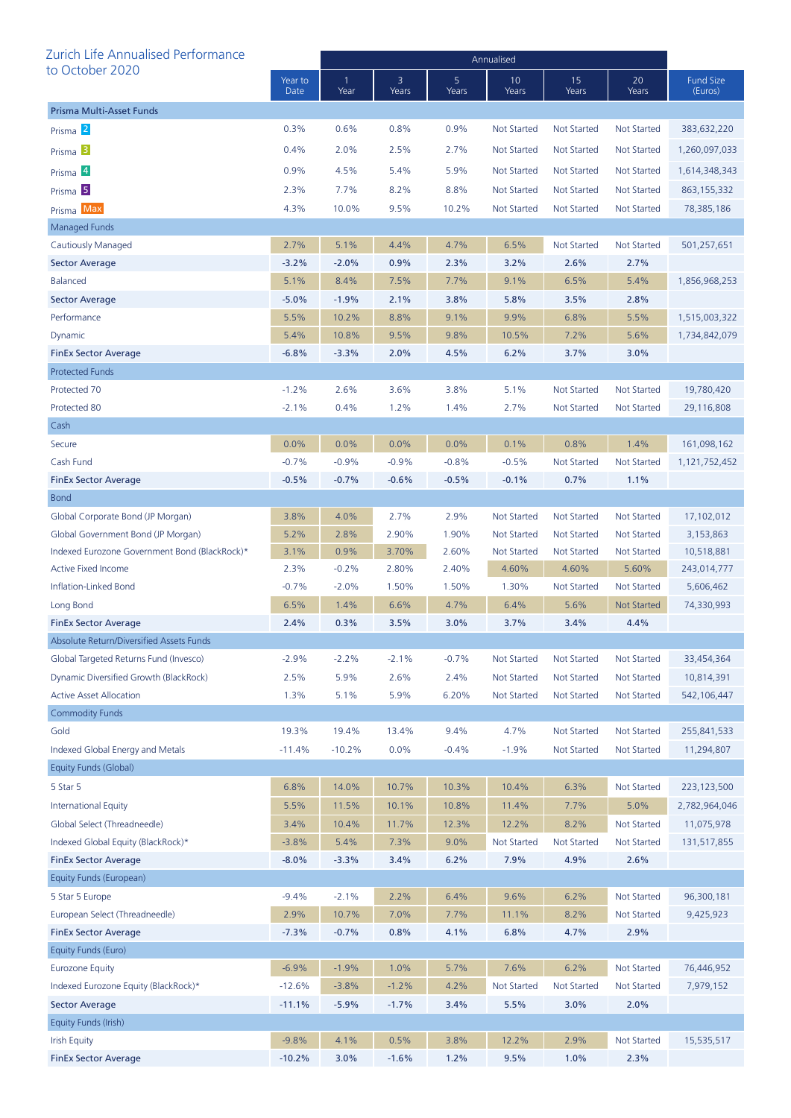| Zurich Life Annualised Performance            |                 | Annualised |            |            |                    |                    |                    |                             |  |
|-----------------------------------------------|-----------------|------------|------------|------------|--------------------|--------------------|--------------------|-----------------------------|--|
| to October 2020                               | Year to<br>Date | Year       | 3<br>Years | 5<br>Years | 10<br>Years        | 15<br>Years        | 20<br>Years        | <b>Fund Size</b><br>(Euros) |  |
| Prisma Multi-Asset Funds                      |                 |            |            |            |                    |                    |                    |                             |  |
| Prisma <sup>2</sup>                           | 0.3%            | 0.6%       | 0.8%       | 0.9%       | <b>Not Started</b> | <b>Not Started</b> | Not Started        | 383,632,220                 |  |
| Prisma <sup>3</sup>                           | 0.4%            | 2.0%       | 2.5%       | 2.7%       | <b>Not Started</b> | <b>Not Started</b> | Not Started        | 1,260,097,033               |  |
| Prisma 4                                      | 0.9%            | 4.5%       | 5.4%       | 5.9%       | <b>Not Started</b> | <b>Not Started</b> | <b>Not Started</b> | 1,614,348,343               |  |
| Prisma <sup>5</sup>                           | 2.3%            | 7.7%       | 8.2%       | 8.8%       | Not Started        | <b>Not Started</b> | <b>Not Started</b> | 863, 155, 332               |  |
| Prisma Max                                    | 4.3%            | 10.0%      | 9.5%       | 10.2%      | <b>Not Started</b> | Not Started        | Not Started        | 78,385,186                  |  |
| <b>Managed Funds</b>                          |                 |            |            |            |                    |                    |                    |                             |  |
| Cautiously Managed                            | 2.7%            | 5.1%       | 4.4%       | 4.7%       | 6.5%               | <b>Not Started</b> | <b>Not Started</b> | 501,257,651                 |  |
| <b>Sector Average</b>                         | $-3.2%$         | $-2.0%$    | 0.9%       | 2.3%       | 3.2%               | 2.6%               | 2.7%               |                             |  |
| <b>Balanced</b>                               | 5.1%            | 8.4%       | 7.5%       | 7.7%       | 9.1%               | 6.5%               | 5.4%               | 1,856,968,253               |  |
| <b>Sector Average</b>                         | $-5.0%$         | $-1.9%$    | 2.1%       | 3.8%       | 5.8%               | 3.5%               | 2.8%               |                             |  |
| Performance                                   | 5.5%            | 10.2%      | 8.8%       | 9.1%       | 9.9%               | 6.8%               | 5.5%               | 1,515,003,322               |  |
| Dynamic                                       | 5.4%            | 10.8%      | 9.5%       | 9.8%       | 10.5%              | 7.2%               | 5.6%               | 1,734,842,079               |  |
| <b>FinEx Sector Average</b>                   | $-6.8%$         | $-3.3%$    | 2.0%       | 4.5%       | 6.2%               | 3.7%               | 3.0%               |                             |  |
| <b>Protected Funds</b>                        |                 |            |            |            |                    |                    |                    |                             |  |
| Protected 70                                  | $-1.2%$         | 2.6%       | 3.6%       | 3.8%       | 5.1%               | <b>Not Started</b> | <b>Not Started</b> | 19,780,420                  |  |
| Protected 80                                  | $-2.1%$         | 0.4%       | 1.2%       | 1.4%       | 2.7%               | <b>Not Started</b> | <b>Not Started</b> | 29,116,808                  |  |
| Cash                                          |                 |            |            |            |                    |                    |                    |                             |  |
| Secure                                        | 0.0%            | 0.0%       | 0.0%       | 0.0%       | 0.1%               | 0.8%               | 1.4%               | 161,098,162                 |  |
| Cash Fund                                     | $-0.7%$         | $-0.9%$    | $-0.9%$    | $-0.8%$    | $-0.5%$            | <b>Not Started</b> | <b>Not Started</b> | 1,121,752,452               |  |
| <b>FinEx Sector Average</b>                   | $-0.5%$         | $-0.7%$    | $-0.6%$    | $-0.5%$    | $-0.1%$            | 0.7%               | 1.1%               |                             |  |
| <b>Bond</b>                                   |                 |            |            |            |                    |                    |                    |                             |  |
| Global Corporate Bond (JP Morgan)             | 3.8%            | 4.0%       | 2.7%       | 2.9%       | <b>Not Started</b> | <b>Not Started</b> | <b>Not Started</b> | 17,102,012                  |  |
| Global Government Bond (JP Morgan)            | 5.2%            | 2.8%       | 2.90%      | 1.90%      | <b>Not Started</b> | <b>Not Started</b> | <b>Not Started</b> | 3,153,863                   |  |
| Indexed Eurozone Government Bond (BlackRock)* | 3.1%            | 0.9%       | 3.70%      | 2.60%      | <b>Not Started</b> | <b>Not Started</b> | <b>Not Started</b> | 10,518,881                  |  |
| <b>Active Fixed Income</b>                    | 2.3%            | $-0.2%$    | 2.80%      | 2.40%      | 4.60%              | 4.60%              | 5.60%              | 243,014,777                 |  |
| Inflation-Linked Bond                         | $-0.7%$         | $-2.0%$    | 1.50%      | 1.50%      | 1.30%              | Not Started        | <b>Not Started</b> | 5,606,462                   |  |
| Long Bond                                     | 6.5%            | 1.4%       | 6.6%       | 4.7%       | 6.4%               | 5.6%               | <b>Not Started</b> | 74,330,993                  |  |
| <b>FinEx Sector Average</b>                   | 2.4%            | 0.3%       | 3.5%       | 3.0%       | 3.7%               | 3.4%               | 4.4%               |                             |  |
| Absolute Return/Diversified Assets Funds      |                 |            |            |            |                    |                    |                    |                             |  |
| Global Targeted Returns Fund (Invesco)        | $-2.9%$         | $-2.2%$    | $-2.1%$    | $-0.7%$    | <b>Not Started</b> | <b>Not Started</b> | <b>Not Started</b> | 33,454,364                  |  |
| Dynamic Diversified Growth (BlackRock)        | 2.5%            | 5.9%       | 2.6%       | 2.4%       | <b>Not Started</b> | <b>Not Started</b> | <b>Not Started</b> | 10,814,391                  |  |
| <b>Active Asset Allocation</b>                | 1.3%            | 5.1%       | 5.9%       | 6.20%      | <b>Not Started</b> | Not Started        | <b>Not Started</b> | 542,106,447                 |  |
| <b>Commodity Funds</b>                        |                 |            |            |            |                    |                    |                    |                             |  |
| Gold                                          | 19.3%           | 19.4%      | 13.4%      | 9.4%       | 4.7%               | <b>Not Started</b> | <b>Not Started</b> | 255,841,533                 |  |
| Indexed Global Energy and Metals              | $-11.4%$        | $-10.2%$   | 0.0%       | $-0.4%$    | $-1.9%$            | <b>Not Started</b> | <b>Not Started</b> | 11,294,807                  |  |
| Equity Funds (Global)                         |                 |            |            |            |                    |                    |                    |                             |  |
| 5 Star 5                                      | 6.8%            | 14.0%      | 10.7%      | 10.3%      | 10.4%              | 6.3%               | <b>Not Started</b> | 223,123,500                 |  |
| <b>International Equity</b>                   | 5.5%            | 11.5%      | 10.1%      | 10.8%      | 11.4%              | 7.7%               | 5.0%               | 2,782,964,046               |  |
| Global Select (Threadneedle)                  | 3.4%            | 10.4%      | 11.7%      | 12.3%      | 12.2%              | 8.2%               | Not Started        | 11,075,978                  |  |
| Indexed Global Equity (BlackRock)*            | $-3.8%$         | 5.4%       | 7.3%       | 9.0%       | <b>Not Started</b> | <b>Not Started</b> | Not Started        | 131,517,855                 |  |
| <b>FinEx Sector Average</b>                   | $-8.0%$         | $-3.3%$    | 3.4%       | 6.2%       | 7.9%               | 4.9%               | 2.6%               |                             |  |
| Equity Funds (European)                       |                 |            |            |            |                    |                    |                    |                             |  |
| 5 Star 5 Europe                               | $-9.4%$         | $-2.1%$    | 2.2%       | 6.4%       | 9.6%               | 6.2%               | <b>Not Started</b> | 96,300,181                  |  |
| European Select (Threadneedle)                | 2.9%            | 10.7%      | 7.0%       | 7.7%       | 11.1%              | 8.2%               | <b>Not Started</b> | 9,425,923                   |  |
| <b>FinEx Sector Average</b>                   | $-7.3%$         | $-0.7%$    | 0.8%       | 4.1%       | 6.8%               | 4.7%               | 2.9%               |                             |  |
| Equity Funds (Euro)                           |                 |            |            |            |                    |                    |                    |                             |  |
| <b>Eurozone Equity</b>                        | $-6.9%$         | $-1.9%$    | 1.0%       | 5.7%       | 7.6%               | 6.2%               | <b>Not Started</b> | 76,446,952                  |  |
| Indexed Eurozone Equity (BlackRock)*          | $-12.6%$        | $-3.8%$    | $-1.2%$    | 4.2%       | <b>Not Started</b> | <b>Not Started</b> | <b>Not Started</b> | 7,979,152                   |  |
| <b>Sector Average</b>                         | $-11.1%$        | $-5.9%$    | $-1.7%$    | 3.4%       | 5.5%               | 3.0%               | 2.0%               |                             |  |
| Equity Funds (Irish)                          |                 |            |            |            |                    |                    |                    |                             |  |
| <b>Irish Equity</b>                           | $-9.8%$         | 4.1%       | 0.5%       | 3.8%       | 12.2%              | 2.9%               | <b>Not Started</b> | 15,535,517                  |  |
| <b>FinEx Sector Average</b>                   | $-10.2%$        | 3.0%       | $-1.6%$    | 1.2%       | 9.5%               | 1.0%               | 2.3%               |                             |  |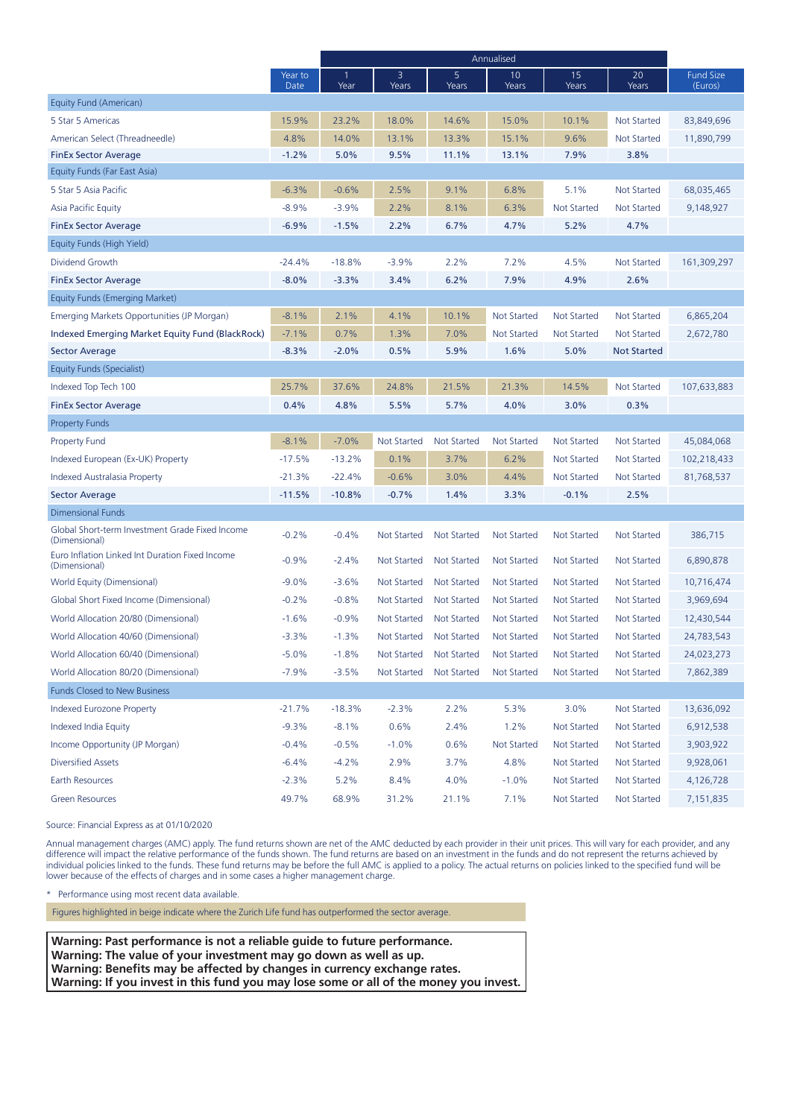|                                                                  |                 | Annualised |                    |                    |                    |                    |                    |                             |
|------------------------------------------------------------------|-----------------|------------|--------------------|--------------------|--------------------|--------------------|--------------------|-----------------------------|
|                                                                  | Year to<br>Date | Year       | 3<br>Years         | 5<br>Years         | 10<br>Years        | 15<br>Years        | 20<br>Years        | <b>Fund Size</b><br>(Euros) |
| Equity Fund (American)                                           |                 |            |                    |                    |                    |                    |                    |                             |
| 5 Star 5 Americas                                                | 15.9%           | 23.2%      | 18.0%              | 14.6%              | 15.0%              | 10.1%              | <b>Not Started</b> | 83,849,696                  |
| American Select (Threadneedle)                                   | 4.8%            | 14.0%      | 13.1%              | 13.3%              | 15.1%              | 9.6%               | <b>Not Started</b> | 11,890,799                  |
| <b>FinEx Sector Average</b>                                      | $-1.2%$         | 5.0%       | 9.5%               | 11.1%              | 13.1%              | 7.9%               | 3.8%               |                             |
| Equity Funds (Far East Asia)                                     |                 |            |                    |                    |                    |                    |                    |                             |
| 5 Star 5 Asia Pacific                                            | $-6.3%$         | $-0.6%$    | 2.5%               | 9.1%               | 6.8%               | 5.1%               | <b>Not Started</b> | 68,035,465                  |
| Asia Pacific Equity                                              | $-8.9%$         | $-3.9%$    | 2.2%               | 8.1%               | 6.3%               | <b>Not Started</b> | <b>Not Started</b> | 9,148,927                   |
| <b>FinEx Sector Average</b>                                      | $-6.9%$         | $-1.5%$    | 2.2%               | 6.7%               | 4.7%               | 5.2%               | 4.7%               |                             |
| Equity Funds (High Yield)                                        |                 |            |                    |                    |                    |                    |                    |                             |
| Dividend Growth                                                  | $-24.4%$        | $-18.8%$   | $-3.9%$            | 2.2%               | 7.2%               | 4.5%               | <b>Not Started</b> | 161,309,297                 |
| <b>FinEx Sector Average</b>                                      | $-8.0%$         | $-3.3%$    | 3.4%               | 6.2%               | 7.9%               | 4.9%               | 2.6%               |                             |
| Equity Funds (Emerging Market)                                   |                 |            |                    |                    |                    |                    |                    |                             |
| Emerging Markets Opportunities (JP Morgan)                       | $-8.1%$         | 2.1%       | 4.1%               | 10.1%              | <b>Not Started</b> | <b>Not Started</b> | <b>Not Started</b> | 6,865,204                   |
| Indexed Emerging Market Equity Fund (BlackRock)                  | $-7.1%$         | 0.7%       | 1.3%               | 7.0%               | <b>Not Started</b> | <b>Not Started</b> | <b>Not Started</b> | 2,672,780                   |
| <b>Sector Average</b>                                            | $-8.3%$         | $-2.0%$    | 0.5%               | 5.9%               | 1.6%               | 5.0%               | <b>Not Started</b> |                             |
| Equity Funds (Specialist)                                        |                 |            |                    |                    |                    |                    |                    |                             |
| Indexed Top Tech 100                                             | 25.7%           | 37.6%      | 24.8%              | 21.5%              | 21.3%              | 14.5%              | <b>Not Started</b> | 107,633,883                 |
| <b>FinEx Sector Average</b>                                      | 0.4%            | 4.8%       | 5.5%               | 5.7%               | 4.0%               | 3.0%               | 0.3%               |                             |
| <b>Property Funds</b>                                            |                 |            |                    |                    |                    |                    |                    |                             |
| <b>Property Fund</b>                                             | $-8.1%$         | $-7.0%$    | <b>Not Started</b> | <b>Not Started</b> | <b>Not Started</b> | <b>Not Started</b> | Not Started        | 45,084,068                  |
| Indexed European (Ex-UK) Property                                | $-17.5%$        | $-13.2%$   | 0.1%               | 3.7%               | 6.2%               | <b>Not Started</b> | <b>Not Started</b> | 102,218,433                 |
| Indexed Australasia Property                                     | $-21.3%$        | $-22.4%$   | $-0.6%$            | 3.0%               | 4.4%               | <b>Not Started</b> | <b>Not Started</b> | 81,768,537                  |
| <b>Sector Average</b>                                            | $-11.5%$        | $-10.8%$   | $-0.7%$            | 1.4%               | 3.3%               | $-0.1%$            | 2.5%               |                             |
| Dimensional Funds                                                |                 |            |                    |                    |                    |                    |                    |                             |
| Global Short-term Investment Grade Fixed Income<br>(Dimensional) | $-0.2%$         | $-0.4%$    | Not Started        | Not Started        | <b>Not Started</b> | <b>Not Started</b> | <b>Not Started</b> | 386,715                     |
| Euro Inflation Linked Int Duration Fixed Income<br>(Dimensional) | $-0.9%$         | $-2.4%$    | Not Started        | Not Started        | <b>Not Started</b> | <b>Not Started</b> | Not Started        | 6,890,878                   |
| World Equity (Dimensional)                                       | $-9.0%$         | $-3.6%$    | <b>Not Started</b> | <b>Not Started</b> | <b>Not Started</b> | <b>Not Started</b> | <b>Not Started</b> | 10,716,474                  |
| Global Short Fixed Income (Dimensional)                          | $-0.2%$         | $-0.8%$    | Not Started        | Not Started        | Not Started        | <b>Not Started</b> | <b>Not Started</b> | 3,969,694                   |
| World Allocation 20/80 (Dimensional)                             | $-1.6%$         | $-0.9%$    | Not Started        | Not Started        | <b>Not Started</b> | <b>Not Started</b> | Not Started        | 12,430,544                  |
| World Allocation 40/60 (Dimensional)                             | $-3.3%$         | $-1.3%$    | Not Started        | <b>Not Started</b> | <b>Not Started</b> | <b>Not Started</b> | <b>Not Started</b> | 24,783,543                  |
| World Allocation 60/40 (Dimensional)                             | $-5.0%$         | $-1.8%$    | Not Started        | Not Started        | Not Started        | Not Started        | Not Started        | 24,023,273                  |
| World Allocation 80/20 (Dimensional)                             | $-7.9%$         | $-3.5%$    | <b>Not Started</b> | <b>Not Started</b> | <b>Not Started</b> | <b>Not Started</b> | <b>Not Started</b> | 7,862,389                   |
| <b>Funds Closed to New Business</b>                              |                 |            |                    |                    |                    |                    |                    |                             |
| <b>Indexed Eurozone Property</b>                                 | $-21.7%$        | $-18.3%$   | $-2.3%$            | 2.2%               | 5.3%               | 3.0%               | Not Started        | 13,636,092                  |
| Indexed India Equity                                             | $-9.3%$         | $-8.1%$    | 0.6%               | 2.4%               | 1.2%               | <b>Not Started</b> | <b>Not Started</b> | 6,912,538                   |
| Income Opportunity (JP Morgan)                                   | $-0.4%$         | $-0.5%$    | $-1.0%$            | 0.6%               | Not Started        | <b>Not Started</b> | Not Started        | 3,903,922                   |
| <b>Diversified Assets</b>                                        | $-6.4%$         | $-4.2%$    | 2.9%               | 3.7%               | 4.8%               | <b>Not Started</b> | <b>Not Started</b> | 9,928,061                   |
| Earth Resources                                                  | $-2.3%$         | 5.2%       | 8.4%               | 4.0%               | $-1.0%$            | <b>Not Started</b> | <b>Not Started</b> | 4,126,728                   |
| <b>Green Resources</b>                                           | 49.7%           | 68.9%      | 31.2%              | 21.1%              | 7.1%               | <b>Not Started</b> | <b>Not Started</b> | 7,151,835                   |

Source: Financial Express as at 01/10/2020

Annual management charges (AMC) apply. The fund returns shown are net of the AMC deducted by each provider in their unit prices. This will vary for each provider, and any difference will impact the relative performance of the funds shown. The fund returns are based on an investment in the funds and do not represent the returns achieved by individual policies linked to the funds. These fund returns may be before the full AMC is applied to a policy. The actual returns on policies linked to the specified fund will be lower because of the effects of charges and in some cases a higher management charge.

Performance using most recent data available.

Figures highlighted in beige indicate where the Zurich Life fund has outperformed the sector average.

**Warning: Past performance is not a reliable guide to future performance. Warning: The value of your investment may go down as well as up. Warning: Benefits may be affected by changes in currency exchange rates. Warning: If you invest in this fund you may lose some or all of the money you invest.**